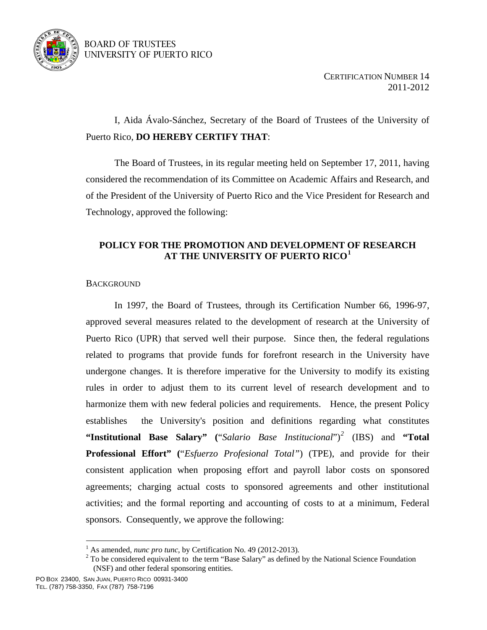

# BOARD OF TRUSTEES UNIVERSITY OF PUERTO RICO

 I, Aida Ávalo-Sánchez, Secretary of the Board of Trustees of the University of Puerto Rico, **DO HEREBY CERTIFY THAT**:

 The Board of Trustees, in its regular meeting held on September 17, 2011, having considered the recommendation of its Committee on Academic Affairs and Research, and of the President of the University of Puerto Rico and the Vice President for Research and Technology, approved the following:

# **POLICY FOR THE PROMOTION AND DEVELOPMENT OF RESEARCH AT THE UNIVERSITY OF PUERTO RICO[1](#page-0-0)**

# **BACKGROUND**

In 1997, the Board of Trustees, through its Certification Number 66, 1996-97, approved several measures related to the development of research at the University of Puerto Rico (UPR) that served well their purpose. Since then, the federal regulations related to programs that provide funds for forefront research in the University have undergone changes. It is therefore imperative for the University to modify its existing rules in order to adjust them to its current level of research development and to harmonize them with new federal policies and requirements. Hence, the present Policy establishes the University's position and definitions regarding what constitutes **"Institutional Base Salary" (**"*Salario Base Institucional*")*[2](#page-0-1)* (IBS) and **"Total Professional Effort" (**"*Esfuerzo Profesional Total"*) (TPE), and provide for their consistent application when proposing effort and payroll labor costs on sponsored agreements; charging actual costs to sponsored agreements and other institutional activities; and the formal reporting and accounting of costs to at a minimum, Federal sponsors. Consequently, we approve the following:

 $\overline{a}$ 

<sup>&</sup>lt;sup>1</sup> As amended, *nunc pro tunc*, by Certification No. 49 (2012-2013).

<span id="page-0-1"></span><span id="page-0-0"></span> $2^2$  To be considered equivalent to the term "Base Salary" as defined by the National Science Foundation (NSF) and other federal sponsoring entities.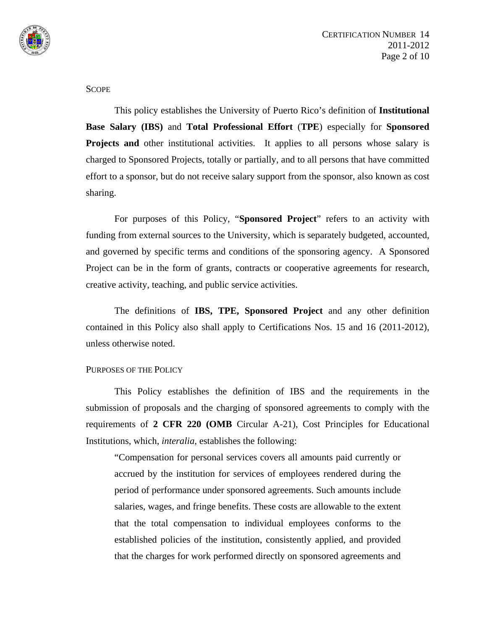

### **SCOPE**

This policy establishes the University of Puerto Rico's definition of **Institutional Base Salary (IBS)** and **Total Professional Effort** (**TPE**) especially for **Sponsored Projects and** other institutional activities. It applies to all persons whose salary is charged to Sponsored Projects, totally or partially, and to all persons that have committed effort to a sponsor, but do not receive salary support from the sponsor, also known as cost sharing.

For purposes of this Policy, "**Sponsored Project**" refers to an activity with funding from external sources to the University, which is separately budgeted, accounted, and governed by specific terms and conditions of the sponsoring agency. A Sponsored Project can be in the form of grants, contracts or cooperative agreements for research, creative activity, teaching, and public service activities.

The definitions of **IBS, TPE, Sponsored Project** and any other definition contained in this Policy also shall apply to Certifications Nos. 15 and 16 (2011-2012), unless otherwise noted.

### PURPOSES OF THE POLICY

This Policy establishes the definition of IBS and the requirements in the submission of proposals and the charging of sponsored agreements to comply with the requirements of **2 CFR 220 (OMB** Circular A-21), Cost Principles for Educational Institutions, which, *interalia*, establishes the following:

"Compensation for personal services covers all amounts paid currently or accrued by the institution for services of employees rendered during the period of performance under sponsored agreements. Such amounts include salaries, wages, and fringe benefits. These costs are allowable to the extent that the total compensation to individual employees conforms to the established policies of the institution, consistently applied, and provided that the charges for work performed directly on sponsored agreements and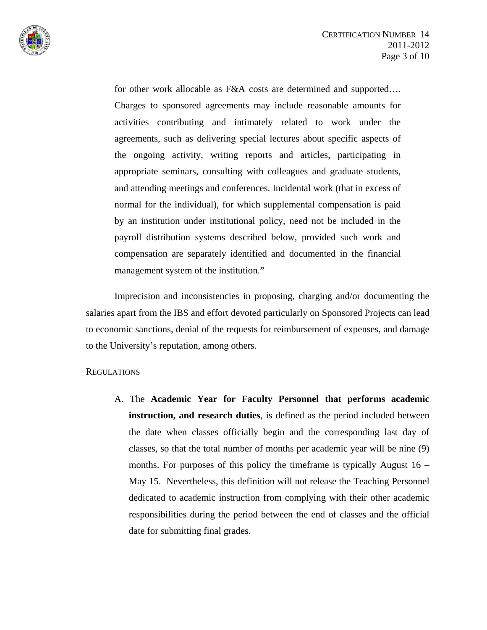

for other work allocable as F&A costs are determined and supported.... Charges to sponsored agreements may include reasonable amounts for activities contributing and intimately related to work under the agreements, such as delivering special lectures about specific aspects of the ongoing activity, writing reports and articles, participating in appropriate seminars, consulting with colleagues and graduate students, and attending meetings and conferences. Incidental work (that in excess of normal for the individual), for which supplemental compensation is paid by an institution under institutional policy, need not be included in the payroll distribution systems described below, provided such work and compensation are separately identified and documented in the financial management system of the institution."

 Imprecision and inconsistencies in proposing, charging and/or documenting the salaries apart from the IBS and effort devoted particularly on Sponsored Projects can lead to economic sanctions, denial of the requests for reimbursement of expenses, and damage to the University's reputation, among others.

### REGULATIONS

A. The **Academic Year for Faculty Personnel that performs academic instruction, and research duties**, is defined as the period included between the date when classes officially begin and the corresponding last day of classes, so that the total number of months per academic year will be nine (9) months. For purposes of this policy the timeframe is typically August  $16 -$ May 15. Nevertheless, this definition will not release the Teaching Personnel dedicated to academic instruction from complying with their other academic responsibilities during the period between the end of classes and the official date for submitting final grades.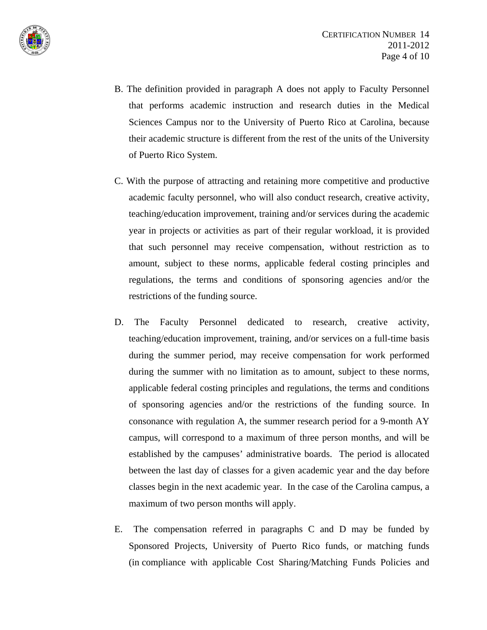



- B. The definition provided in paragraph A does not apply to Faculty Personnel that performs academic instruction and research duties in the Medical Sciences Campus nor to the University of Puerto Rico at Carolina, because their academic structure is different from the rest of the units of the University of Puerto Rico System.
- C. With the purpose of attracting and retaining more competitive and productive academic faculty personnel, who will also conduct research, creative activity, teaching/education improvement, training and/or services during the academic year in projects or activities as part of their regular workload, it is provided that such personnel may receive compensation, without restriction as to amount, subject to these norms, applicable federal costing principles and regulations, the terms and conditions of sponsoring agencies and/or the restrictions of the funding source.
- D. The Faculty Personnel dedicated to research, creative activity, teaching/education improvement, training, and/or services on a full-time basis during the summer period, may receive compensation for work performed during the summer with no limitation as to amount, subject to these norms, applicable federal costing principles and regulations, the terms and conditions of sponsoring agencies and/or the restrictions of the funding source. In consonance with regulation A, the summer research period for a 9-month AY campus, will correspond to a maximum of three person months, and will be established by the campuses' administrative boards. The period is allocated between the last day of classes for a given academic year and the day before classes begin in the next academic year. In the case of the Carolina campus, a maximum of two person months will apply.
- E. The compensation referred in paragraphs C and D may be funded by Sponsored Projects, University of Puerto Rico funds, or matching funds (in compliance with applicable Cost Sharing/Matching Funds Policies and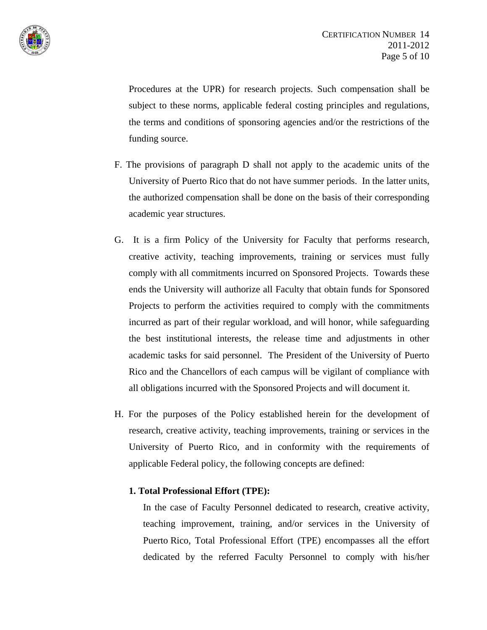

Procedures at the UPR) for research projects. Such compensation shall be subject to these norms, applicable federal costing principles and regulations, the terms and conditions of sponsoring agencies and/or the restrictions of the funding source.

- F. The provisions of paragraph D shall not apply to the academic units of the University of Puerto Rico that do not have summer periods. In the latter units, the authorized compensation shall be done on the basis of their corresponding academic year structures.
- G. It is a firm Policy of the University for Faculty that performs research, creative activity, teaching improvements, training or services must fully comply with all commitments incurred on Sponsored Projects. Towards these ends the University will authorize all Faculty that obtain funds for Sponsored Projects to perform the activities required to comply with the commitments incurred as part of their regular workload, and will honor, while safeguarding the best institutional interests, the release time and adjustments in other academic tasks for said personnel. The President of the University of Puerto Rico and the Chancellors of each campus will be vigilant of compliance with all obligations incurred with the Sponsored Projects and will document it.
- H. For the purposes of the Policy established herein for the development of research, creative activity, teaching improvements, training or services in the University of Puerto Rico, and in conformity with the requirements of applicable Federal policy, the following concepts are defined:

### **1. Total Professional Effort (TPE):**

In the case of Faculty Personnel dedicated to research, creative activity, teaching improvement, training, and/or services in the University of Puerto Rico, Total Professional Effort (TPE) encompasses all the effort dedicated by the referred Faculty Personnel to comply with his/her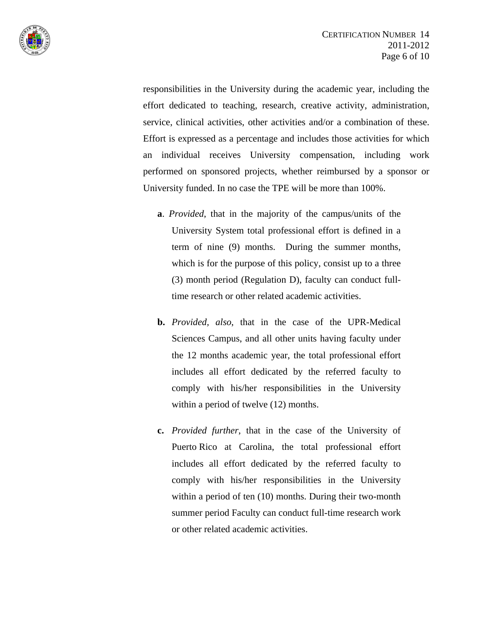

responsibilities in the University during the academic year, including the effort dedicated to teaching, research, creative activity, administration, service, clinical activities, other activities and/or a combination of these. Effort is expressed as a percentage and includes those activities for which an individual receives University compensation, including work performed on sponsored projects, whether reimbursed by a sponsor or University funded. In no case the TPE will be more than 100%.

- **a**. *Provided*, that in the majority of the campus/units of the University System total professional effort is defined in a term of nine (9) months. During the summer months, which is for the purpose of this policy, consist up to a three (3) month period (Regulation D), faculty can conduct fulltime research or other related academic activities.
- **b.** *Provided, also*, that in the case of the UPR-Medical Sciences Campus, and all other units having faculty under the 12 months academic year, the total professional effort includes all effort dedicated by the referred faculty to comply with his/her responsibilities in the University within a period of twelve (12) months.
- **c.** *Provided further*, that in the case of the University of Puerto Rico at Carolina, the total professional effort includes all effort dedicated by the referred faculty to comply with his/her responsibilities in the University within a period of ten (10) months. During their two-month summer period Faculty can conduct full-time research work or other related academic activities.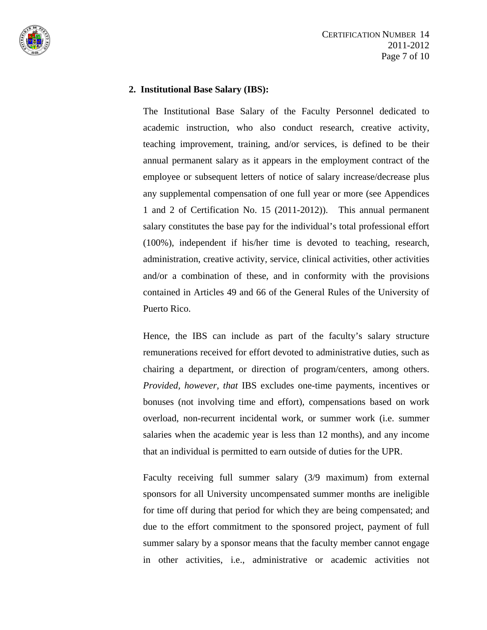

## **2. Institutional Base Salary (IBS):**

The Institutional Base Salary of the Faculty Personnel dedicated to academic instruction, who also conduct research, creative activity, teaching improvement, training, and/or services, is defined to be their annual permanent salary as it appears in the employment contract of the employee or subsequent letters of notice of salary increase/decrease plus any supplemental compensation of one full year or more (see Appendices 1 and 2 of Certification No. 15 (2011-2012)). This annual permanent salary constitutes the base pay for the individual's total professional effort (100%), independent if his/her time is devoted to teaching, research, administration, creative activity, service, clinical activities, other activities and/or a combination of these, and in conformity with the provisions contained in Articles 49 and 66 of the General Rules of the University of Puerto Rico.

Hence, the IBS can include as part of the faculty's salary structure remunerations received for effort devoted to administrative duties, such as chairing a department, or direction of program/centers, among others. *Provided, however, that* IBS excludes one-time payments, incentives or bonuses (not involving time and effort), compensations based on work overload, non-recurrent incidental work, or summer work (i.e. summer salaries when the academic year is less than 12 months), and any income that an individual is permitted to earn outside of duties for the UPR.

Faculty receiving full summer salary (3/9 maximum) from external sponsors for all University uncompensated summer months are ineligible for time off during that period for which they are being compensated; and due to the effort commitment to the sponsored project, payment of full summer salary by a sponsor means that the faculty member cannot engage in other activities, i.e., administrative or academic activities not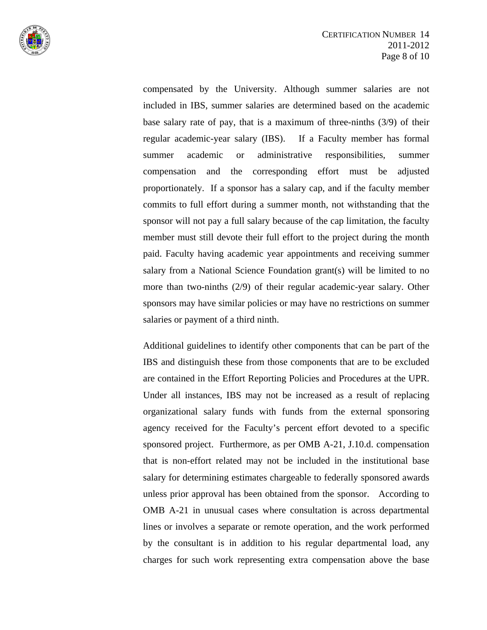

compensated by the University. Although summer salaries are not included in IBS, summer salaries are determined based on the academic base salary rate of pay, that is a maximum of three-ninths (3/9) of their regular academic-year salary (IBS). If a Faculty member has formal summer academic or administrative responsibilities, summer compensation and the corresponding effort must be adjusted proportionately. If a sponsor has a salary cap, and if the faculty member commits to full effort during a summer month, not withstanding that the sponsor will not pay a full salary because of the cap limitation, the faculty member must still devote their full effort to the project during the month paid. Faculty having academic year appointments and receiving summer salary from a National Science Foundation grant(s) will be limited to no more than two-ninths (2/9) of their regular academic-year salary. Other sponsors may have similar policies or may have no restrictions on summer salaries or payment of a third ninth.

Additional guidelines to identify other components that can be part of the IBS and distinguish these from those components that are to be excluded are contained in the Effort Reporting Policies and Procedures at the UPR. Under all instances, IBS may not be increased as a result of replacing organizational salary funds with funds from the external sponsoring agency received for the Faculty's percent effort devoted to a specific sponsored project. Furthermore, as per OMB A-21, J.10.d. compensation that is non-effort related may not be included in the institutional base salary for determining estimates chargeable to federally sponsored awards unless prior approval has been obtained from the sponsor. According to OMB A-21 in unusual cases where consultation is across departmental lines or involves a separate or remote operation, and the work performed by the consultant is in addition to his regular departmental load, any charges for such work representing extra compensation above the base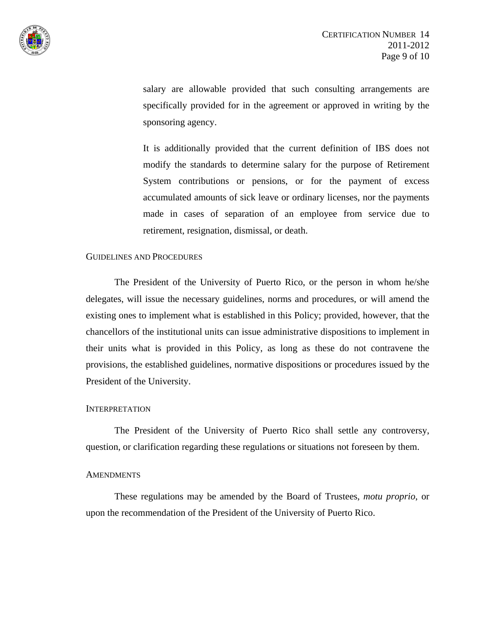

salary are allowable provided that such consulting arrangements are specifically provided for in the agreement or approved in writing by the sponsoring agency.

It is additionally provided that the current definition of IBS does not modify the standards to determine salary for the purpose of Retirement System contributions or pensions, or for the payment of excess accumulated amounts of sick leave or ordinary licenses, nor the payments made in cases of separation of an employee from service due to retirement, resignation, dismissal, or death.

#### GUIDELINES AND PROCEDURES

The President of the University of Puerto Rico, or the person in whom he/she delegates, will issue the necessary guidelines, norms and procedures, or will amend the existing ones to implement what is established in this Policy; provided, however, that the chancellors of the institutional units can issue administrative dispositions to implement in their units what is provided in this Policy, as long as these do not contravene the provisions, the established guidelines, normative dispositions or procedures issued by the President of the University.

### INTERPRETATION

The President of the University of Puerto Rico shall settle any controversy, question, or clarification regarding these regulations or situations not foreseen by them.

#### **AMENDMENTS**

These regulations may be amended by the Board of Trustees, *motu proprio*, or upon the recommendation of the President of the University of Puerto Rico.